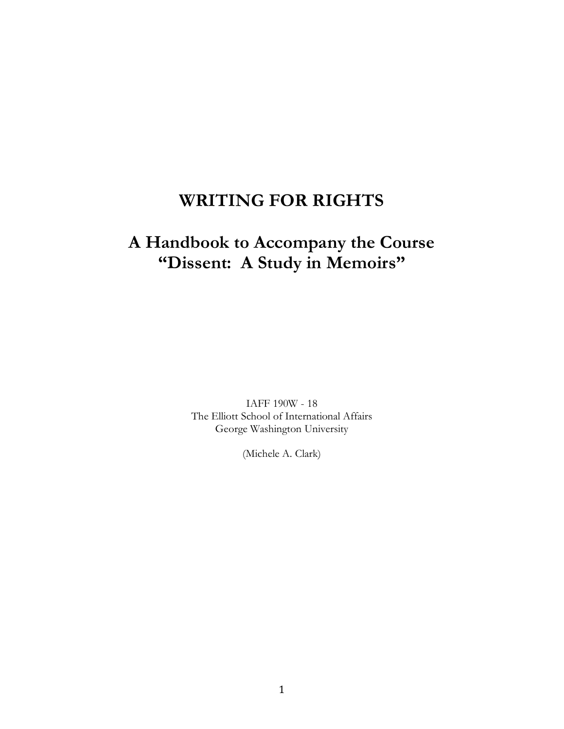# **WRITING FOR RIGHTS**

# **A Handbook to Accompany the Course "Dissent: A Study in Memoirs"**

IAFF 190W - 18 The Elliott School of International Affairs George Washington University

(Michele A. Clark)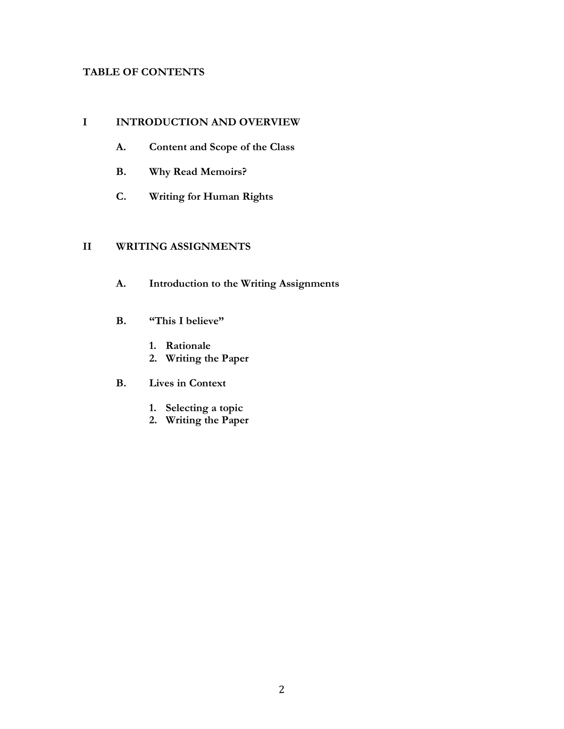## **TABLE OF CONTENTS**

#### **I INTRODUCTION AND OVERVIEW**

- **A. Content and Scope of the Class**
- **B. Why Read Memoirs?**
- **C. Writing for Human Rights**

#### **II WRITING ASSIGNMENTS**

- **A. Introduction to the Writing Assignments**
- **B. "This I believe"**
	- **1. Rationale**
	- **2. Writing the Paper**
- **B. Lives in Context**
	- **1. Selecting a topic**
	- **2. Writing the Paper**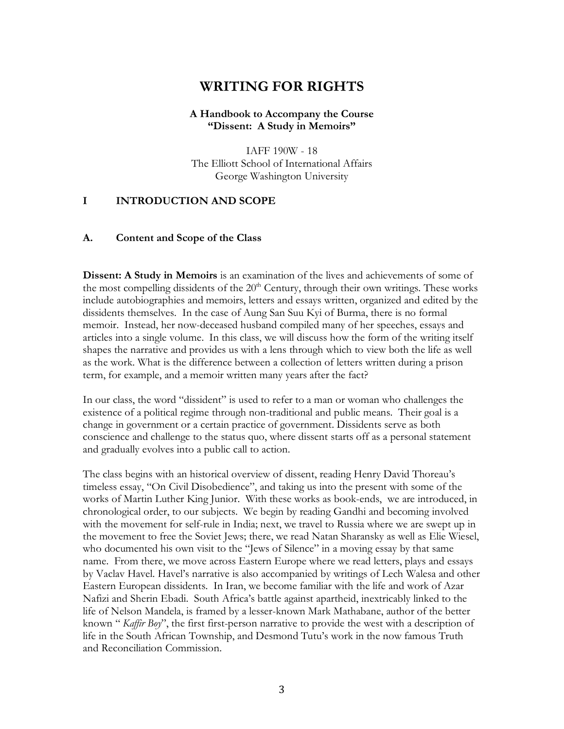## **WRITING FOR RIGHTS**

#### **A Handbook to Accompany the Course "Dissent: A Study in Memoirs"**

IAFF 190W - 18 The Elliott School of International Affairs George Washington University

#### **I INTRODUCTION AND SCOPE**

#### **A. Content and Scope of the Class**

**Dissent: A Study in Memoirs** is an examination of the lives and achievements of some of the most compelling dissidents of the  $20<sup>th</sup>$  Century, through their own writings. These works include autobiographies and memoirs, letters and essays written, organized and edited by the dissidents themselves. In the case of Aung San Suu Kyi of Burma, there is no formal memoir. Instead, her now-deceased husband compiled many of her speeches, essays and articles into a single volume. In this class, we will discuss how the form of the writing itself shapes the narrative and provides us with a lens through which to view both the life as well as the work. What is the difference between a collection of letters written during a prison term, for example, and a memoir written many years after the fact?

In our class, the word "dissident" is used to refer to a man or woman who challenges the existence of a political regime through non-traditional and public means. Their goal is a change in government or a certain practice of government. Dissidents serve as both conscience and challenge to the status quo, where dissent starts off as a personal statement and gradually evolves into a public call to action.

The class begins with an historical overview of dissent, reading Henry David Thoreau's timeless essay, "On Civil Disobedience", and taking us into the present with some of the works of Martin Luther King Junior. With these works as book-ends, we are introduced, in chronological order, to our subjects. We begin by reading Gandhi and becoming involved with the movement for self-rule in India; next, we travel to Russia where we are swept up in the movement to free the Soviet Jews; there, we read Natan Sharansky as well as Elie Wiesel, who documented his own visit to the "Jews of Silence" in a moving essay by that same name. From there, we move across Eastern Europe where we read letters, plays and essays by Vaclav Havel. Havel's narrative is also accompanied by writings of Lech Walesa and other Eastern European dissidents. In Iran, we become familiar with the life and work of Azar Nafizi and Sherin Ebadi. South Africa's battle against apartheid, inextricably linked to the life of Nelson Mandela, is framed by a lesser-known Mark Mathabane, author of the better known " *Kaffir Boy*", the first first-person narrative to provide the west with a description of life in the South African Township, and Desmond Tutu's work in the now famous Truth and Reconciliation Commission.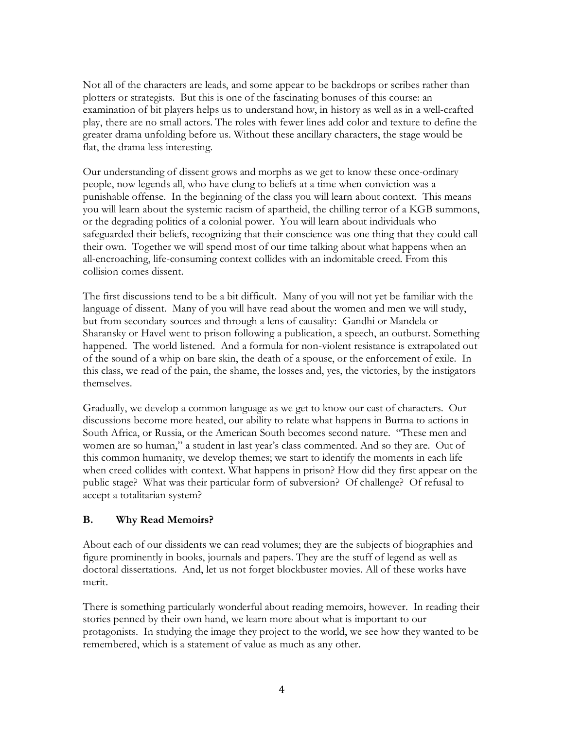Not all of the characters are leads, and some appear to be backdrops or scribes rather than plotters or strategists. But this is one of the fascinating bonuses of this course: an examination of bit players helps us to understand how, in history as well as in a well-crafted play, there are no small actors. The roles with fewer lines add color and texture to define the greater drama unfolding before us. Without these ancillary characters, the stage would be flat, the drama less interesting.

Our understanding of dissent grows and morphs as we get to know these once-ordinary people, now legends all, who have clung to beliefs at a time when conviction was a punishable offense. In the beginning of the class you will learn about context. This means you will learn about the systemic racism of apartheid, the chilling terror of a KGB summons, or the degrading politics of a colonial power. You will learn about individuals who safeguarded their beliefs, recognizing that their conscience was one thing that they could call their own. Together we will spend most of our time talking about what happens when an all-encroaching, life-consuming context collides with an indomitable creed. From this collision comes dissent.

The first discussions tend to be a bit difficult. Many of you will not yet be familiar with the language of dissent. Many of you will have read about the women and men we will study, but from secondary sources and through a lens of causality: Gandhi or Mandela or Sharansky or Havel went to prison following a publication, a speech, an outburst. Something happened. The world listened. And a formula for non-violent resistance is extrapolated out of the sound of a whip on bare skin, the death of a spouse, or the enforcement of exile. In this class, we read of the pain, the shame, the losses and, yes, the victories, by the instigators themselves.

Gradually, we develop a common language as we get to know our cast of characters. Our discussions become more heated, our ability to relate what happens in Burma to actions in South Africa, or Russia, or the American South becomes second nature. "These men and women are so human," a student in last year's class commented. And so they are. Out of this common humanity, we develop themes; we start to identify the moments in each life when creed collides with context. What happens in prison? How did they first appear on the public stage? What was their particular form of subversion? Of challenge? Of refusal to accept a totalitarian system?

#### **B. Why Read Memoirs?**

About each of our dissidents we can read volumes; they are the subjects of biographies and figure prominently in books, journals and papers. They are the stuff of legend as well as doctoral dissertations. And, let us not forget blockbuster movies. All of these works have merit.

There is something particularly wonderful about reading memoirs, however. In reading their stories penned by their own hand, we learn more about what is important to our protagonists. In studying the image they project to the world, we see how they wanted to be remembered, which is a statement of value as much as any other.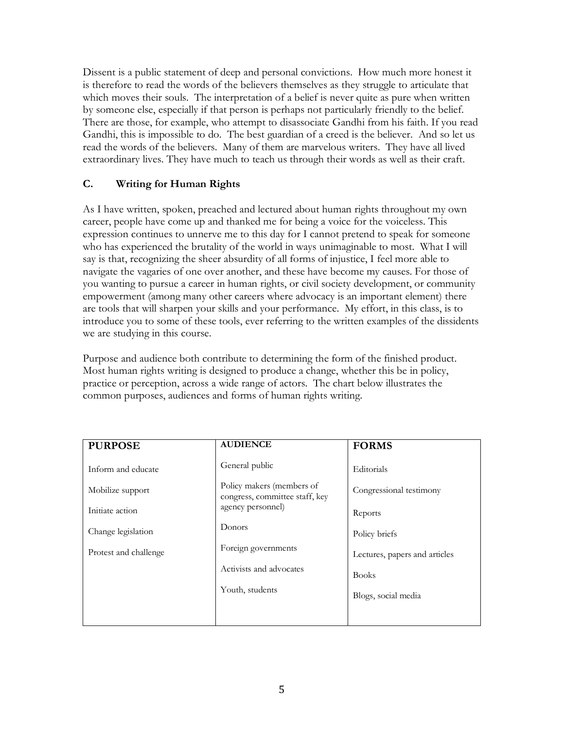Dissent is a public statement of deep and personal convictions. How much more honest it is therefore to read the words of the believers themselves as they struggle to articulate that which moves their souls. The interpretation of a belief is never quite as pure when written by someone else, especially if that person is perhaps not particularly friendly to the belief. There are those, for example, who attempt to disassociate Gandhi from his faith. If you read Gandhi, this is impossible to do. The best guardian of a creed is the believer. And so let us read the words of the believers. Many of them are marvelous writers. They have all lived extraordinary lives. They have much to teach us through their words as well as their craft.

## **C. Writing for Human Rights**

As I have written, spoken, preached and lectured about human rights throughout my own career, people have come up and thanked me for being a voice for the voiceless. This expression continues to unnerve me to this day for I cannot pretend to speak for someone who has experienced the brutality of the world in ways unimaginable to most. What I will say is that, recognizing the sheer absurdity of all forms of injustice, I feel more able to navigate the vagaries of one over another, and these have become my causes. For those of you wanting to pursue a career in human rights, or civil society development, or community empowerment (among many other careers where advocacy is an important element) there are tools that will sharpen your skills and your performance. My effort, in this class, is to introduce you to some of these tools, ever referring to the written examples of the dissidents we are studying in this course.

Purpose and audience both contribute to determining the form of the finished product. Most human rights writing is designed to produce a change, whether this be in policy, practice or perception, across a wide range of actors. The chart below illustrates the common purposes, audiences and forms of human rights writing.

| <b>PURPOSE</b>        | <b>AUDIENCE</b>                                             | <b>FORMS</b>                  |
|-----------------------|-------------------------------------------------------------|-------------------------------|
| Inform and educate    | General public                                              | Editorials                    |
| Mobilize support      | Policy makers (members of<br>congress, committee staff, key | Congressional testimony       |
| Initiate action       | agency personnel)                                           | Reports                       |
| Change legislation    | Donors                                                      | Policy briefs                 |
| Protest and challenge | Foreign governments                                         | Lectures, papers and articles |
|                       | Activists and advocates                                     | <b>Books</b>                  |
|                       | Youth, students                                             | Blogs, social media           |
|                       |                                                             |                               |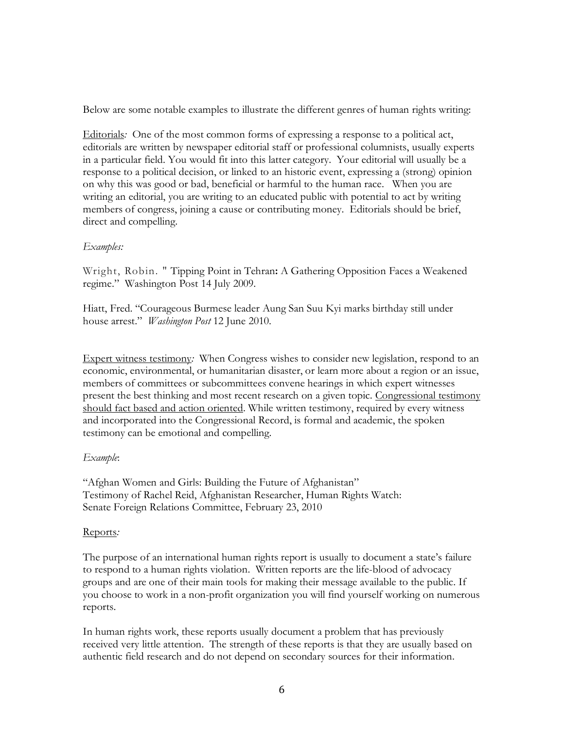Below are some notable examples to illustrate the different genres of human rights writing:

Editorials*:* One of the most common forms of expressing a response to a political act, editorials are written by newspaper editorial staff or professional columnists, usually experts in a particular field. You would fit into this latter category. Your editorial will usually be a response to a political decision, or linked to an historic event, expressing a (strong) opinion on why this was good or bad, beneficial or harmful to the human race. When you are writing an editorial, you are writing to an educated public with potential to act by writing members of congress, joining a cause or contributing money. Editorials should be brief, direct and compelling.

## *Examples:*

Wright, Robin. " Tipping Point in Tehran**:** A Gathering Opposition Faces a Weakened regime." Washington Post 14 July 2009.

Hiatt, Fred. "Courageous Burmese leader Aung San Suu Kyi marks birthday still under house arrest." *Washington Post* 12 June 2010.

Expert witness testimony*:* When Congress wishes to consider new legislation, respond to an economic, environmental, or humanitarian disaster, or learn more about a region or an issue, members of committees or subcommittees convene hearings in which expert witnesses present the best thinking and most recent research on a given topic. Congressional testimony should fact based and action oriented. While written testimony, required by every witness and incorporated into the Congressional Record, is formal and academic, the spoken testimony can be emotional and compelling.

## *Example*:

"Afghan Women and Girls: Building the Future of Afghanistan" Testimony of Rachel Reid, Afghanistan Researcher, Human Rights Watch: Senate Foreign Relations Committee, February 23, 2010

## Reports*:*

The purpose of an international human rights report is usually to document a state's failure to respond to a human rights violation. Written reports are the life-blood of advocacy groups and are one of their main tools for making their message available to the public. If you choose to work in a non-profit organization you will find yourself working on numerous reports.

In human rights work, these reports usually document a problem that has previously received very little attention. The strength of these reports is that they are usually based on authentic field research and do not depend on secondary sources for their information.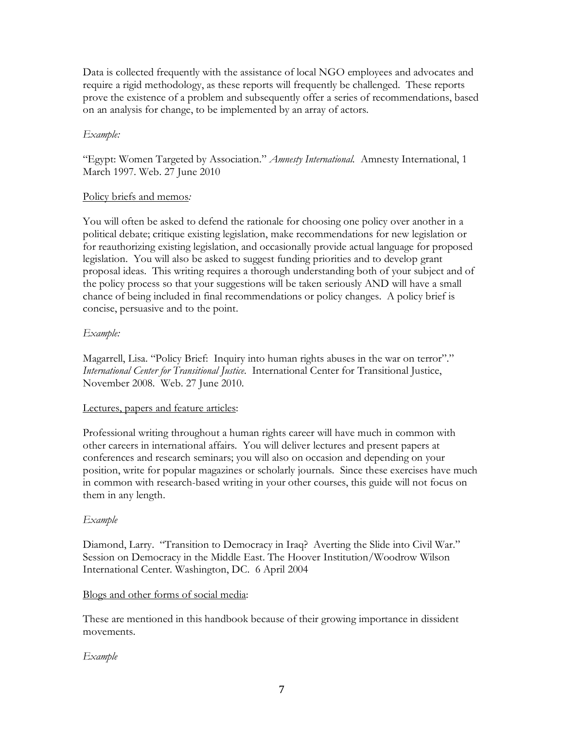Data is collected frequently with the assistance of local NGO employees and advocates and require a rigid methodology, as these reports will frequently be challenged. These reports prove the existence of a problem and subsequently offer a series of recommendations, based on an analysis for change, to be implemented by an array of actors.

## *Example:*

"Egypt: Women Targeted by Association." *Amnesty International.* Amnesty International, 1 March 1997. Web. 27 June 2010

#### Policy briefs and memos*:*

You will often be asked to defend the rationale for choosing one policy over another in a political debate; critique existing legislation, make recommendations for new legislation or for reauthorizing existing legislation, and occasionally provide actual language for proposed legislation. You will also be asked to suggest funding priorities and to develop grant proposal ideas. This writing requires a thorough understanding both of your subject and of the policy process so that your suggestions will be taken seriously AND will have a small chance of being included in final recommendations or policy changes. A policy brief is concise, persuasive and to the point.

## *Example:*

Magarrell, Lisa. "Policy Brief: Inquiry into human rights abuses in the war on terror"." *International Center for Transitional Justice.* International Center for Transitional Justice, November 2008. Web. 27 June 2010.

#### Lectures, papers and feature articles:

Professional writing throughout a human rights career will have much in common with other careers in international affairs. You will deliver lectures and present papers at conferences and research seminars; you will also on occasion and depending on your position, write for popular magazines or scholarly journals. Since these exercises have much in common with research-based writing in your other courses, this guide will not focus on them in any length.

#### *Example*

Diamond, Larry. "Transition to Democracy in Iraq? Averting the Slide into Civil War." Session on Democracy in the Middle East. The Hoover Institution/Woodrow Wilson International Center. Washington, DC. 6 April 2004

## Blogs and other forms of social media:

These are mentioned in this handbook because of their growing importance in dissident movements.

#### *Example*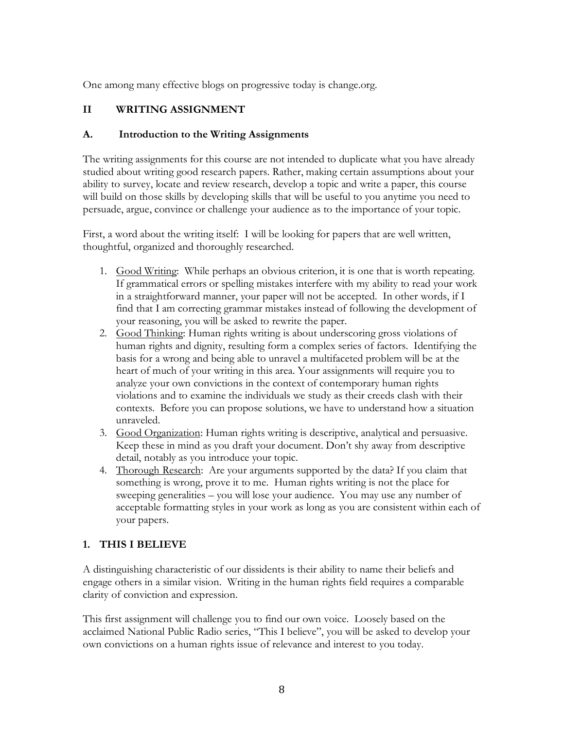One among many effective blogs on progressive today is change.org.

## **II WRITING ASSIGNMENT**

#### **A. Introduction to the Writing Assignments**

The writing assignments for this course are not intended to duplicate what you have already studied about writing good research papers. Rather, making certain assumptions about your ability to survey, locate and review research, develop a topic and write a paper, this course will build on those skills by developing skills that will be useful to you anytime you need to persuade, argue, convince or challenge your audience as to the importance of your topic.

First, a word about the writing itself: I will be looking for papers that are well written, thoughtful, organized and thoroughly researched.

- 1. Good Writing: While perhaps an obvious criterion, it is one that is worth repeating. If grammatical errors or spelling mistakes interfere with my ability to read your work in a straightforward manner, your paper will not be accepted. In other words, if I find that I am correcting grammar mistakes instead of following the development of your reasoning, you will be asked to rewrite the paper.
- 2. Good Thinking: Human rights writing is about underscoring gross violations of human rights and dignity, resulting form a complex series of factors. Identifying the basis for a wrong and being able to unravel a multifaceted problem will be at the heart of much of your writing in this area. Your assignments will require you to analyze your own convictions in the context of contemporary human rights violations and to examine the individuals we study as their creeds clash with their contexts. Before you can propose solutions, we have to understand how a situation unraveled.
- 3. Good Organization: Human rights writing is descriptive, analytical and persuasive. Keep these in mind as you draft your document. Don't shy away from descriptive detail, notably as you introduce your topic.
- 4. Thorough Research: Are your arguments supported by the data? If you claim that something is wrong, prove it to me. Human rights writing is not the place for sweeping generalities – you will lose your audience. You may use any number of acceptable formatting styles in your work as long as you are consistent within each of your papers.

## **1. THIS I BELIEVE**

A distinguishing characteristic of our dissidents is their ability to name their beliefs and engage others in a similar vision. Writing in the human rights field requires a comparable clarity of conviction and expression.

This first assignment will challenge you to find our own voice. Loosely based on the acclaimed National Public Radio series, "This I believe", you will be asked to develop your own convictions on a human rights issue of relevance and interest to you today.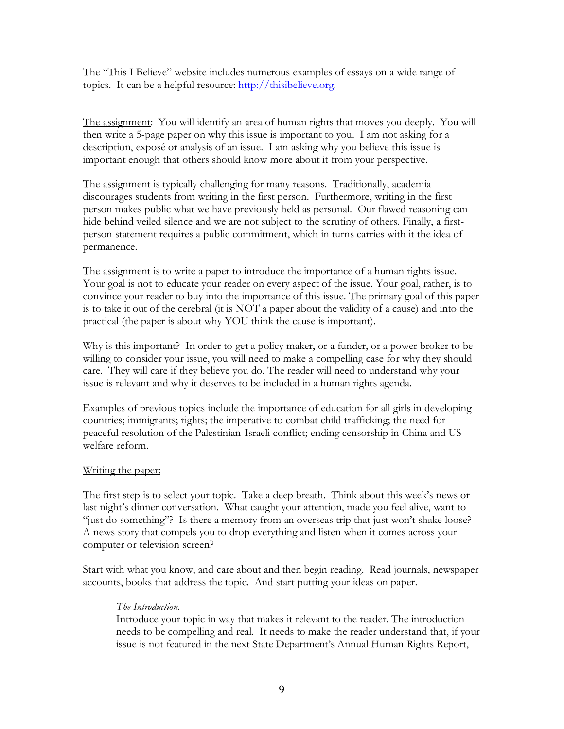The "This I Believe" website includes numerous examples of essays on a wide range of topics. It can be a helpful resource: [http://thisibelieve.org.](http://thisibelieve.org/)

The assignment: You will identify an area of human rights that moves you deeply. You will then write a 5-page paper on why this issue is important to you. I am not asking for a description, exposé or analysis of an issue. I am asking why you believe this issue is important enough that others should know more about it from your perspective.

The assignment is typically challenging for many reasons. Traditionally, academia discourages students from writing in the first person. Furthermore, writing in the first person makes public what we have previously held as personal. Our flawed reasoning can hide behind veiled silence and we are not subject to the scrutiny of others. Finally, a firstperson statement requires a public commitment, which in turns carries with it the idea of permanence.

The assignment is to write a paper to introduce the importance of a human rights issue. Your goal is not to educate your reader on every aspect of the issue. Your goal, rather, is to convince your reader to buy into the importance of this issue. The primary goal of this paper is to take it out of the cerebral (it is NOT a paper about the validity of a cause) and into the practical (the paper is about why YOU think the cause is important).

Why is this important? In order to get a policy maker, or a funder, or a power broker to be willing to consider your issue, you will need to make a compelling case for why they should care. They will care if they believe you do. The reader will need to understand why your issue is relevant and why it deserves to be included in a human rights agenda.

Examples of previous topics include the importance of education for all girls in developing countries; immigrants; rights; the imperative to combat child trafficking; the need for peaceful resolution of the Palestinian-Israeli conflict; ending censorship in China and US welfare reform.

#### Writing the paper:

The first step is to select your topic. Take a deep breath. Think about this week's news or last night's dinner conversation. What caught your attention, made you feel alive, want to "just do something"? Is there a memory from an overseas trip that just won't shake loose? A news story that compels you to drop everything and listen when it comes across your computer or television screen?

Start with what you know, and care about and then begin reading. Read journals, newspaper accounts, books that address the topic. And start putting your ideas on paper.

#### *The Introduction*.

Introduce your topic in way that makes it relevant to the reader. The introduction needs to be compelling and real. It needs to make the reader understand that, if your issue is not featured in the next State Department's Annual Human Rights Report,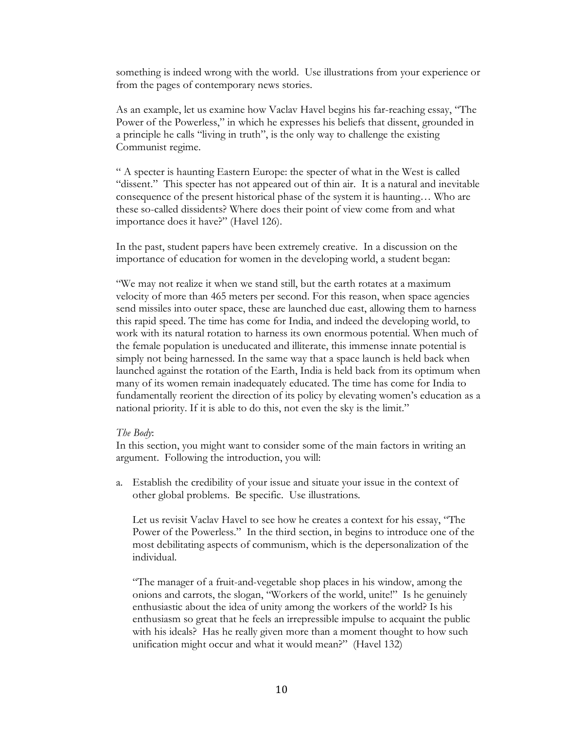something is indeed wrong with the world. Use illustrations from your experience or from the pages of contemporary news stories.

As an example, let us examine how Vaclav Havel begins his far-reaching essay, "The Power of the Powerless," in which he expresses his beliefs that dissent, grounded in a principle he calls "living in truth", is the only way to challenge the existing Communist regime.

" A specter is haunting Eastern Europe: the specter of what in the West is called "dissent." This specter has not appeared out of thin air. It is a natural and inevitable consequence of the present historical phase of the system it is haunting… Who are these so-called dissidents? Where does their point of view come from and what importance does it have?" (Havel 126).

In the past, student papers have been extremely creative. In a discussion on the importance of education for women in the developing world, a student began:

"We may not realize it when we stand still, but the earth rotates at a maximum velocity of more than 465 meters per second. For this reason, when space agencies send missiles into outer space, these are launched due east, allowing them to harness this rapid speed. The time has come for India, and indeed the developing world, to work with its natural rotation to harness its own enormous potential. When much of the female population is uneducated and illiterate, this immense innate potential is simply not being harnessed. In the same way that a space launch is held back when launched against the rotation of the Earth, India is held back from its optimum when many of its women remain inadequately educated. The time has come for India to fundamentally reorient the direction of its policy by elevating women's education as a national priority. If it is able to do this, not even the sky is the limit."

#### *The Body*:

In this section, you might want to consider some of the main factors in writing an argument. Following the introduction, you will:

a. Establish the credibility of your issue and situate your issue in the context of other global problems. Be specific. Use illustrations.

Let us revisit Vaclav Havel to see how he creates a context for his essay, "The Power of the Powerless." In the third section, in begins to introduce one of the most debilitating aspects of communism, which is the depersonalization of the individual.

"The manager of a fruit-and-vegetable shop places in his window, among the onions and carrots, the slogan, "Workers of the world, unite!" Is he genuinely enthusiastic about the idea of unity among the workers of the world? Is his enthusiasm so great that he feels an irrepressible impulse to acquaint the public with his ideals? Has he really given more than a moment thought to how such unification might occur and what it would mean?" (Havel 132)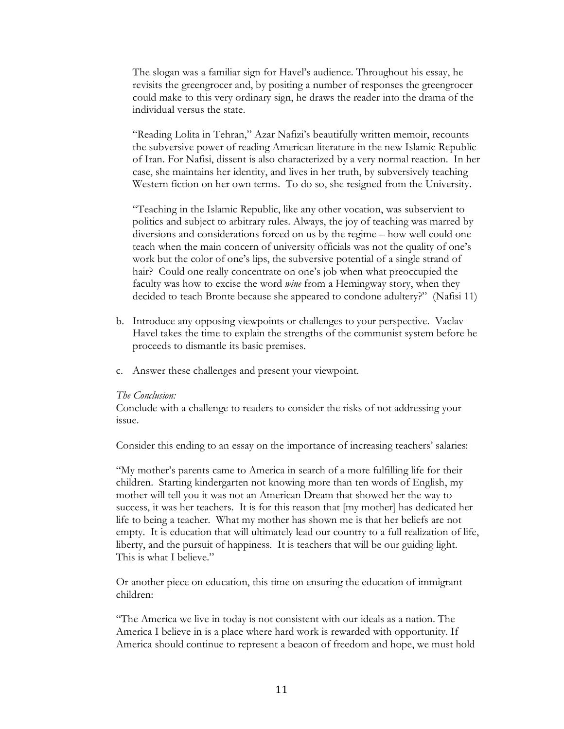The slogan was a familiar sign for Havel's audience. Throughout his essay, he revisits the greengrocer and, by positing a number of responses the greengrocer could make to this very ordinary sign, he draws the reader into the drama of the individual versus the state.

"Reading Lolita in Tehran," Azar Nafizi's beautifully written memoir, recounts the subversive power of reading American literature in the new Islamic Republic of Iran. For Nafisi, dissent is also characterized by a very normal reaction. In her case, she maintains her identity, and lives in her truth, by subversively teaching Western fiction on her own terms. To do so, she resigned from the University.

"Teaching in the Islamic Republic, like any other vocation, was subservient to politics and subject to arbitrary rules. Always, the joy of teaching was marred by diversions and considerations forced on us by the regime – how well could one teach when the main concern of university officials was not the quality of one's work but the color of one's lips, the subversive potential of a single strand of hair? Could one really concentrate on one's job when what preoccupied the faculty was how to excise the word *wine* from a Hemingway story, when they decided to teach Bronte because she appeared to condone adultery?" (Nafisi 11)

- b. Introduce any opposing viewpoints or challenges to your perspective. Vaclav Havel takes the time to explain the strengths of the communist system before he proceeds to dismantle its basic premises.
- c. Answer these challenges and present your viewpoint.

#### *The Conclusion:*

Conclude with a challenge to readers to consider the risks of not addressing your issue.

Consider this ending to an essay on the importance of increasing teachers' salaries:

"My mother's parents came to America in search of a more fulfilling life for their children. Starting kindergarten not knowing more than ten words of English, my mother will tell you it was not an American Dream that showed her the way to success, it was her teachers. It is for this reason that [my mother] has dedicated her life to being a teacher. What my mother has shown me is that her beliefs are not empty. It is education that will ultimately lead our country to a full realization of life, liberty, and the pursuit of happiness. It is teachers that will be our guiding light. This is what I believe."

Or another piece on education, this time on ensuring the education of immigrant children:

"The America we live in today is not consistent with our ideals as a nation. The America I believe in is a place where hard work is rewarded with opportunity. If America should continue to represent a beacon of freedom and hope, we must hold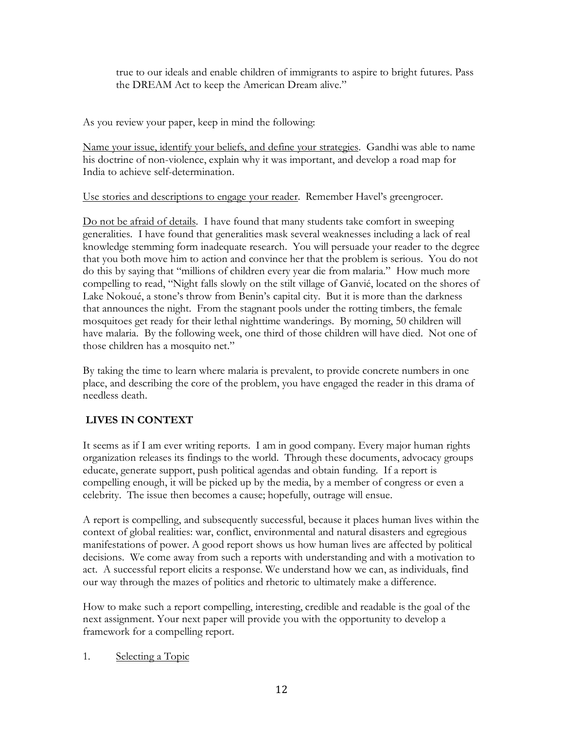true to our ideals and enable children of immigrants to aspire to bright futures. Pass the DREAM Act to keep the American Dream alive."

As you review your paper, keep in mind the following:

Name your issue, identify your beliefs, and define your strategies. Gandhi was able to name his doctrine of non-violence, explain why it was important, and develop a road map for India to achieve self-determination.

Use stories and descriptions to engage your reader. Remember Havel's greengrocer.

Do not be afraid of details. I have found that many students take comfort in sweeping generalities. I have found that generalities mask several weaknesses including a lack of real knowledge stemming form inadequate research. You will persuade your reader to the degree that you both move him to action and convince her that the problem is serious. You do not do this by saying that "millions of children every year die from malaria." How much more compelling to read, "Night falls slowly on the stilt village of Ganvié, located on the shores of Lake Nokoué, a stone's throw from Benin's capital city. But it is more than the darkness that announces the night. From the stagnant pools under the rotting timbers, the female mosquitoes get ready for their lethal nighttime wanderings. By morning, 50 children will have malaria. By the following week, one third of those children will have died. Not one of those children has a mosquito net."

By taking the time to learn where malaria is prevalent, to provide concrete numbers in one place, and describing the core of the problem, you have engaged the reader in this drama of needless death.

## **LIVES IN CONTEXT**

It seems as if I am ever writing reports. I am in good company. Every major human rights organization releases its findings to the world. Through these documents, advocacy groups educate, generate support, push political agendas and obtain funding. If a report is compelling enough, it will be picked up by the media, by a member of congress or even a celebrity. The issue then becomes a cause; hopefully, outrage will ensue.

A report is compelling, and subsequently successful, because it places human lives within the context of global realities: war, conflict, environmental and natural disasters and egregious manifestations of power. A good report shows us how human lives are affected by political decisions. We come away from such a reports with understanding and with a motivation to act. A successful report elicits a response. We understand how we can, as individuals, find our way through the mazes of politics and rhetoric to ultimately make a difference.

How to make such a report compelling, interesting, credible and readable is the goal of the next assignment. Your next paper will provide you with the opportunity to develop a framework for a compelling report.

1. Selecting a Topic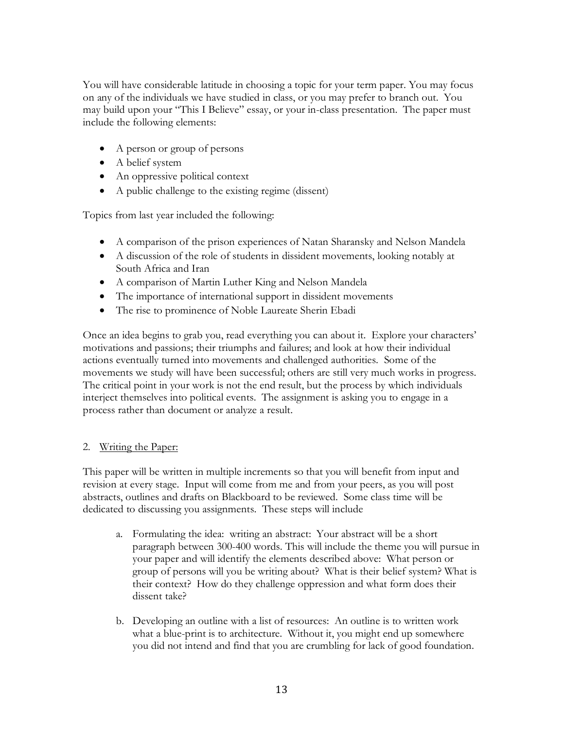You will have considerable latitude in choosing a topic for your term paper. You may focus on any of the individuals we have studied in class, or you may prefer to branch out. You may build upon your "This I Believe" essay, or your in-class presentation. The paper must include the following elements:

- A person or group of persons
- A belief system
- An oppressive political context
- A public challenge to the existing regime (dissent)

Topics from last year included the following:

- A comparison of the prison experiences of Natan Sharansky and Nelson Mandela
- A discussion of the role of students in dissident movements, looking notably at South Africa and Iran
- A comparison of Martin Luther King and Nelson Mandela
- The importance of international support in dissident movements
- The rise to prominence of Noble Laureate Sherin Ebadi

Once an idea begins to grab you, read everything you can about it. Explore your characters' motivations and passions; their triumphs and failures; and look at how their individual actions eventually turned into movements and challenged authorities. Some of the movements we study will have been successful; others are still very much works in progress. The critical point in your work is not the end result, but the process by which individuals interject themselves into political events. The assignment is asking you to engage in a process rather than document or analyze a result.

#### 2. Writing the Paper:

This paper will be written in multiple increments so that you will benefit from input and revision at every stage. Input will come from me and from your peers, as you will post abstracts, outlines and drafts on Blackboard to be reviewed. Some class time will be dedicated to discussing you assignments. These steps will include

- a. Formulating the idea: writing an abstract: Your abstract will be a short paragraph between 300-400 words. This will include the theme you will pursue in your paper and will identify the elements described above: What person or group of persons will you be writing about? What is their belief system? What is their context? How do they challenge oppression and what form does their dissent take?
- b. Developing an outline with a list of resources: An outline is to written work what a blue-print is to architecture. Without it, you might end up somewhere you did not intend and find that you are crumbling for lack of good foundation.